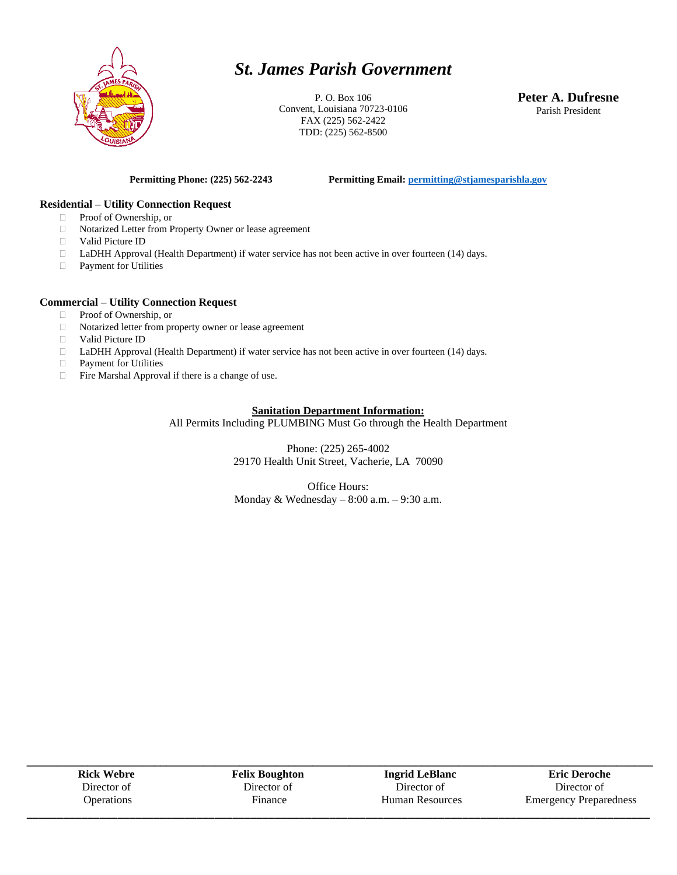

# *St. James Parish Government*

P. O. Box 106 Convent, Louisiana 70723-0106 FAX (225) 562-2422 TDD: (225) 562-8500

**Peter A. Dufresne** Parish President

**Permitting Phone: (225) 562-2243 Permitting Email[: permitting@stjamesparishla.gov](mailto:permitting@stjamesparishla.gov)**

#### **Residential – Utility Connection Request**

- □ Proof of Ownership, or
- Notarized Letter from Property Owner or lease agreement
- Valid Picture ID
- □ LaDHH Approval (Health Department) if water service has not been active in over fourteen (14) days.
- Payment for Utilities

#### **Commercial – Utility Connection Request**

- □ Proof of Ownership, or
- Notarized letter from property owner or lease agreement
- Valid Picture ID
- □ LaDHH Approval (Health Department) if water service has not been active in over fourteen (14) days.
- Payment for Utilities
- $\Box$  Fire Marshal Approval if there is a change of use.

### **Sanitation Department Information:**

All Permits Including PLUMBING Must Go through the Health Department

Phone: (225) 265-4002 29170 Health Unit Street, Vacherie, LA 70090

Office Hours: Monday & Wednesday  $-8:00$  a.m.  $-9:30$  a.m.

| <b>Rick Webre</b> | <b>Felix Boughton</b> | <b>Ingrid LeBlanc</b> | <b>Eric Deroche</b>           |
|-------------------|-----------------------|-----------------------|-------------------------------|
| Director of       | Director of           | Director of           | Director of                   |
| <b>Operations</b> | Finance               | Human Resources       | <b>Emergency Preparedness</b> |